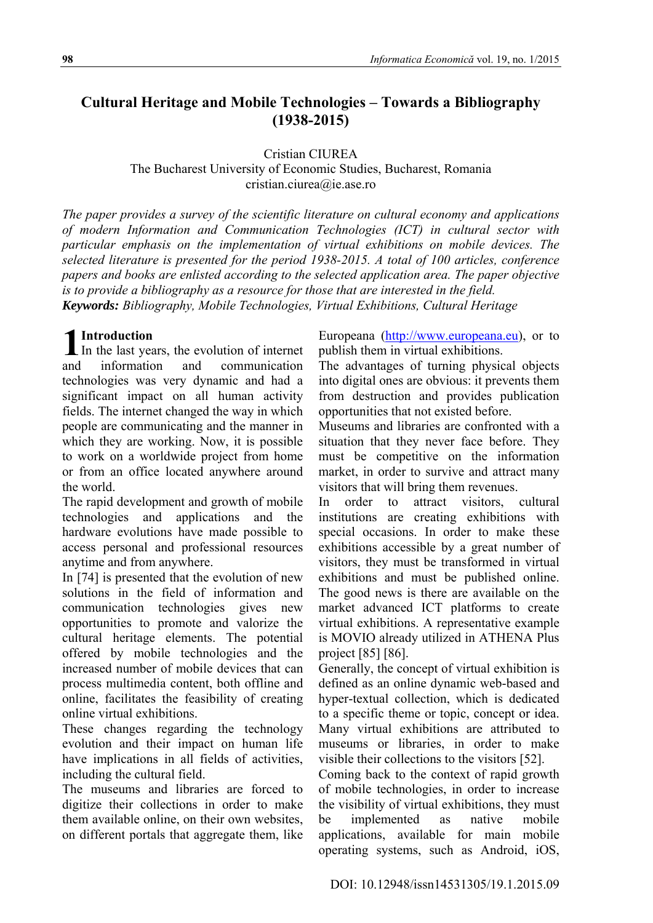# **Cultural Heritage and Mobile Technologies – Towards a Bibliography (1938-2015)**

Cristian CIUREA

The Bucharest University of Economic Studies, Bucharest, Romania cristian.ciurea@ie.ase.ro

*The paper provides a survey of the scientific literature on cultural economy and applications of modern Information and Communication Technologies (ICT) in cultural sector with particular emphasis on the implementation of virtual exhibitions on mobile devices. The selected literature is presented for the period 1938-2015. A total of 100 articles, conference papers and books are enlisted according to the selected application area. The paper objective is to provide a bibliography as a resource for those that are interested in the field. Keywords: Bibliography, Mobile Technologies, Virtual Exhibitions, Cultural Heritage* 

# **Introduction**

In the last years, the evolution of internet and information and communication technologies was very dynamic and had a significant impact on all human activity fields. The internet changed the way in which people are communicating and the manner in which they are working. Now, it is possible to work on a worldwide project from home or from an office located anywhere around the world. 1 **I**<sub>In</sub>

The rapid development and growth of mobile technologies and applications and the hardware evolutions have made possible to access personal and professional resources anytime and from anywhere.

In [74] is presented that the evolution of new solutions in the field of information and communication technologies gives new opportunities to promote and valorize the cultural heritage elements. The potential offered by mobile technologies and the increased number of mobile devices that can process multimedia content, both offline and online, facilitates the feasibility of creating online virtual exhibitions.

These changes regarding the technology evolution and their impact on human life have implications in all fields of activities, including the cultural field.

The museums and libraries are forced to digitize their collections in order to make them available online, on their own websites, on different portals that aggregate them, like

Europeana (http://www.europeana.eu), or to publish them in virtual exhibitions.

The advantages of turning physical objects into digital ones are obvious: it prevents them from destruction and provides publication opportunities that not existed before.

Museums and libraries are confronted with a situation that they never face before. They must be competitive on the information market, in order to survive and attract many visitors that will bring them revenues.

In order to attract visitors, cultural institutions are creating exhibitions with special occasions. In order to make these exhibitions accessible by a great number of visitors, they must be transformed in virtual exhibitions and must be published online. The good news is there are available on the market advanced ICT platforms to create virtual exhibitions. A representative example is MOVIO already utilized in ATHENA Plus project [85] [86].

Generally, the concept of virtual exhibition is defined as an online dynamic web-based and hyper-textual collection, which is dedicated to a specific theme or topic, concept or idea. Many virtual exhibitions are attributed to museums or libraries, in order to make visible their collections to the visitors [52].

Coming back to the context of rapid growth of mobile technologies, in order to increase the visibility of virtual exhibitions, they must be implemented as native mobile applications, available for main mobile operating systems, such as Android, iOS,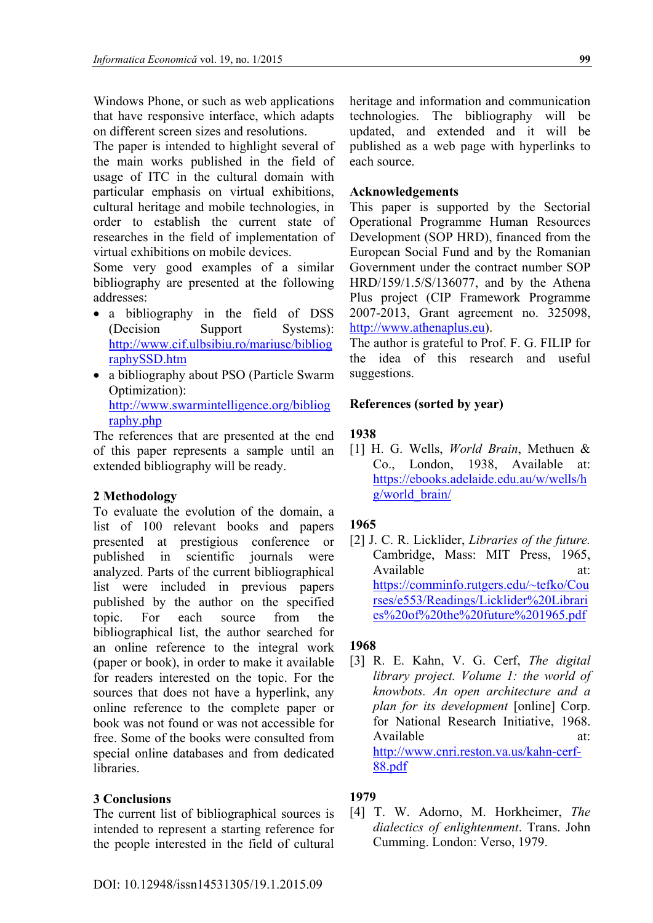Windows Phone, or such as web applications that have responsive interface, which adapts on different screen sizes and resolutions.

The paper is intended to highlight several of the main works published in the field of usage of ITC in the cultural domain with particular emphasis on virtual exhibitions, cultural heritage and mobile technologies, in order to establish the current state of researches in the field of implementation of virtual exhibitions on mobile devices.

Some very good examples of a similar bibliography are presented at the following addresses:

- a bibliography in the field of DSS (Decision Support Systems): http://www.cif.ulbsibiu.ro/mariusc/bibliog raphySSD.htm
- a bibliography about PSO (Particle Swarm Optimization): http://www.swarmintelligence.org/bibliog raphy.php

The references that are presented at the end of this paper represents a sample until an extended bibliography will be ready.

# **2 Methodology**

To evaluate the evolution of the domain, a list of 100 relevant books and papers presented at prestigious conference or published in scientific journals were analyzed. Parts of the current bibliographical list were included in previous papers published by the author on the specified topic. For each source from the bibliographical list, the author searched for an online reference to the integral work (paper or book), in order to make it available for readers interested on the topic. For the sources that does not have a hyperlink, any online reference to the complete paper or book was not found or was not accessible for free. Some of the books were consulted from special online databases and from dedicated libraries.

## **3 Conclusions**

The current list of bibliographical sources is intended to represent a starting reference for the people interested in the field of cultural heritage and information and communication technologies. The bibliography will be updated, and extended and it will be published as a web page with hyperlinks to each source.

### **Acknowledgements**

This paper is supported by the Sectorial Operational Programme Human Resources Development (SOP HRD), financed from the European Social Fund and by the Romanian Government under the contract number SOP HRD/159/1.5/S/136077, and by the Athena Plus project (CIP Framework Programme 2007-2013, Grant agreement no. 325098, http://www.athenaplus.eu).

The author is grateful to Prof. F. G. FILIP for the idea of this research and useful suggestions.

## **References (sorted by year)**

### **1938**

[1] H. G. Wells, *World Brain*, Methuen & Co., London, 1938, Available at: https://ebooks.adelaide.edu.au/w/wells/h g/world\_brain/

## **1965**

[2] J. C. R. Licklider, *Libraries of the future.* Cambridge, Mass: MIT Press, 1965, Available at: https://comminfo.rutgers.edu/~tefko/Cou rses/e553/Readings/Licklider%20Librari es%20of%20the%20future%201965.pdf

## **1968**

[3] R. E. Kahn, V. G. Cerf, *The digital library project. Volume 1: the world of knowbots. An open architecture and a plan for its development* [online] Corp. for National Research Initiative, 1968. Available at: http://www.cnri.reston.va.us/kahn-cerf-88.pdf

## **1979**

[4] T. W. Adorno, M. Horkheimer, *The dialectics of enlightenment*. Trans. John Cumming. London: Verso, 1979.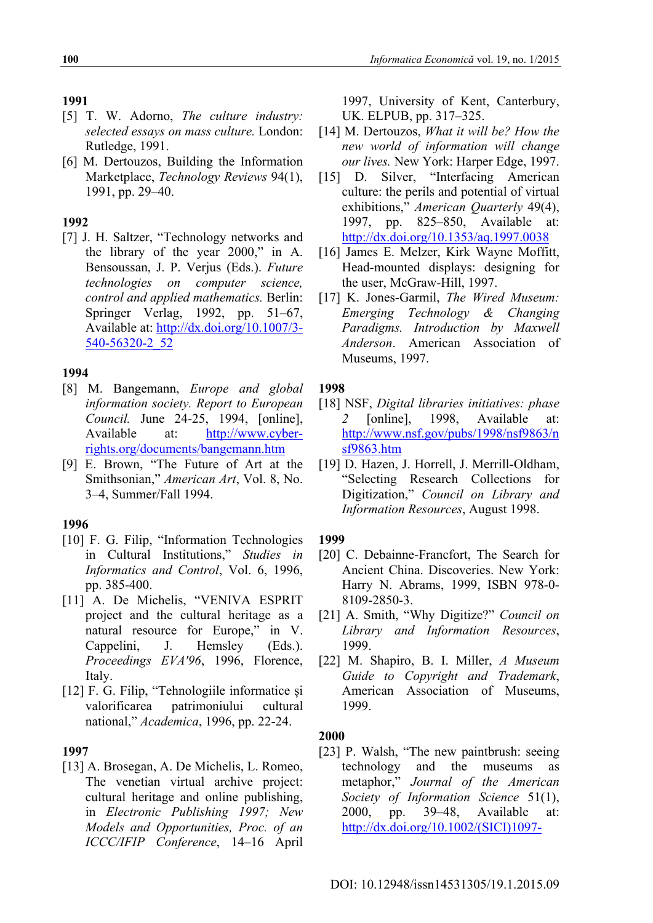### **1991**

- [5] T. W. Adorno, *The culture industry: selected essays on mass culture.* London: Rutledge, 1991.
- [6] M. Dertouzos, Building the Information Marketplace, *Technology Reviews* 94(1), 1991, pp. 29–40.

### **1992**

[7] J. H. Saltzer, "Technology networks and the library of the year 2000," in A. Bensoussan, J. P. Verjus (Eds.). *Future technologies on computer science, control and applied mathematics.* Berlin: Springer Verlag, 1992, pp. 51–67, Available at: http://dx.doi.org/10.1007/3- 540-56320-2\_52

### **1994**

- [8] M. Bangemann, *Europe and global information society. Report to European Council.* June 24-25, 1994, [online], Available at: http://www.cyberrights.org/documents/bangemann.htm
- [9] E. Brown, "The Future of Art at the Smithsonian," *American Art*, Vol. 8, No. 3–4, Summer/Fall 1994.

### **1996**

- [10] F. G. Filip, "Information Technologies in Cultural Institutions," *Studies in Informatics and Control*, Vol. 6, 1996, pp. 385-400.
- [11] A. De Michelis, "VENIVA ESPRIT project and the cultural heritage as a natural resource for Europe," in V. Cappelini, J. Hemsley (Eds.). *Proceedings EVA'96*, 1996, Florence, Italy.
- [12] F. G. Filip, "Tehnologiile informatice și valorificarea patrimoniului cultural national," *Academica*, 1996, pp. 22-24.

### **1997**

[13] A. Brosegan, A. De Michelis, L. Romeo, The venetian virtual archive project: cultural heritage and online publishing, in *Electronic Publishing 1997; New Models and Opportunities, Proc. of an ICCC/IFIP Conference*, 14–16 April

1997, University of Kent, Canterbury, UK. ELPUB, pp. 317–325.

- [14] M. Dertouzos, *What it will be? How the new world of information will change our lives.* New York: Harper Edge, 1997.
- [15] D. Silver, "Interfacing American culture: the perils and potential of virtual exhibitions," *American Quarterly* 49(4), 1997, pp. 825–850, Available at: http://dx.doi.org/10.1353/aq.1997.0038
- [16] James E. Melzer, Kirk Wayne Moffitt, Head-mounted displays: designing for the user, McGraw-Hill, 1997.
- [17] K. Jones-Garmil, *The Wired Museum: Emerging Technology & Changing Paradigms. Introduction by Maxwell Anderson*. American Association of Museums, 1997.

### **1998**

- [18] NSF, *Digital libraries initiatives: phase 2* [online], 1998, Available at: http://www.nsf.gov/pubs/1998/nsf9863/n sf9863.htm
- [19] D. Hazen, J. Horrell, J. Merrill-Oldham, "Selecting Research Collections for Digitization," *Council on Library and Information Resources*, August 1998.

### **1999**

- [20] C. Debainne-Francfort, The Search for Ancient China. Discoveries. New York: Harry N. Abrams, 1999, ISBN 978-0- 8109-2850-3.
- [21] A. Smith, "Why Digitize?" *Council on Library and Information Resources*, 1999.
- [22] M. Shapiro, B. I. Miller, *A Museum Guide to Copyright and Trademark*, American Association of Museums, 1999.

### **2000**

[23] P. Walsh, "The new paintbrush: seeing technology and the museums as metaphor," *Journal of the American Society of Information Science* 51(1), 2000, pp. 39–48, Available at: http://dx.doi.org/10.1002/(SICI)1097-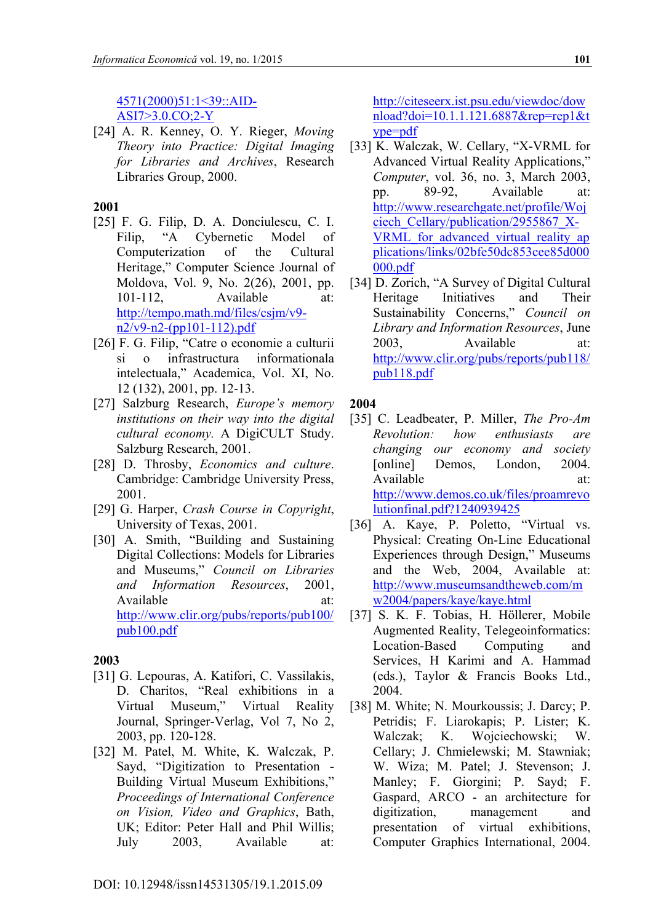# 4571(2000)51:1<39::AID-

ASI7>3.0.CO;2-Y

[24] A. R. Kenney, O. Y. Rieger, *Moving Theory into Practice: Digital Imaging for Libraries and Archives*, Research Libraries Group, 2000.

## **2001**

- [25] F. G. Filip, D. A. Donciulescu, C. I. Filip, "A Cybernetic Model of Computerization of the Cultural Heritage," Computer Science Journal of Moldova, Vol. 9, No. 2(26), 2001, pp. 101-112, Available at: http://tempo.math.md/files/csjm/v9 n2/v9-n2-(pp101-112).pdf
- [26] F. G. Filip, "Catre o economie a culturii si o infrastructura informationala intelectuala," Academica, Vol. XI, No. 12 (132), 2001, pp. 12-13.
- [27] Salzburg Research, *Europe's memory institutions on their way into the digital cultural economy.* A DigiCULT Study. Salzburg Research, 2001.
- [28] D. Throsby, *Economics and culture*. Cambridge: Cambridge University Press, 2001.
- [29] G. Harper, *Crash Course in Copyright*, University of Texas, 2001.
- [30] A. Smith, "Building and Sustaining Digital Collections: Models for Libraries and Museums," *Council on Libraries and Information Resources*, 2001, Available at: http://www.clir.org/pubs/reports/pub100/ pub100.pdf

## **2003**

- [31] G. Lepouras, A. Katifori, C. Vassilakis, D. Charitos, "Real exhibitions in a Virtual Museum," Virtual Reality Journal, Springer-Verlag, Vol 7, No 2, 2003, pp. 120-128.
- [32] M. Patel, M. White, K. Walczak, P. Sayd, "Digitization to Presentation - Building Virtual Museum Exhibitions," *Proceedings of International Conference on Vision, Video and Graphics*, Bath, UK; Editor: Peter Hall and Phil Willis; July 2003, Available at:

http://citeseerx.ist.psu.edu/viewdoc/dow nload?doi=10.1.1.121.6887&rep=rep1&t ype=pdf

- [33] K. Walczak, W. Cellary, "X-VRML for Advanced Virtual Reality Applications," *Computer*, vol. 36, no. 3, March 2003, pp. 89-92, Available at: http://www.researchgate.net/profile/Woj ciech\_Cellary/publication/2955867\_X-VRML for advanced virtual reality ap plications/links/02bfe50dc853cee85d000 000.pdf
- [34] D. Zorich, "A Survey of Digital Cultural Heritage Initiatives and Their Sustainability Concerns," *Council on Library and Information Resources*, June 2003, Available at: http://www.clir.org/pubs/reports/pub118/ pub118.pdf

### **2004**

- [35] C. Leadbeater, P. Miller, *The Pro-Am Revolution: how enthusiasts are changing our economy and society* [online] Demos, London, 2004. Available at: http://www.demos.co.uk/files/proamrevo lutionfinal.pdf?1240939425
- [36] A. Kaye, P. Poletto, "Virtual vs. Physical: Creating On-Line Educational Experiences through Design," Museums and the Web, 2004, Available at: http://www.museumsandtheweb.com/m w2004/papers/kaye/kaye.html
- [37] S. K. F. Tobias, H. Höllerer, Mobile Augmented Reality, Telegeoinformatics: Location-Based Computing and Services, H Karimi and A. Hammad (eds.), Taylor & Francis Books Ltd., 2004.
- [38] M. White; N. Mourkoussis; J. Darcy; P. Petridis; F. Liarokapis; P. Lister; K. Walczak; K. Wojciechowski; W. Cellary; J. Chmielewski; M. Stawniak; W. Wiza; M. Patel; J. Stevenson; J. Manley; F. Giorgini; P. Sayd; F. Gaspard, ARCO - an architecture for digitization, management and presentation of virtual exhibitions, Computer Graphics International, 2004.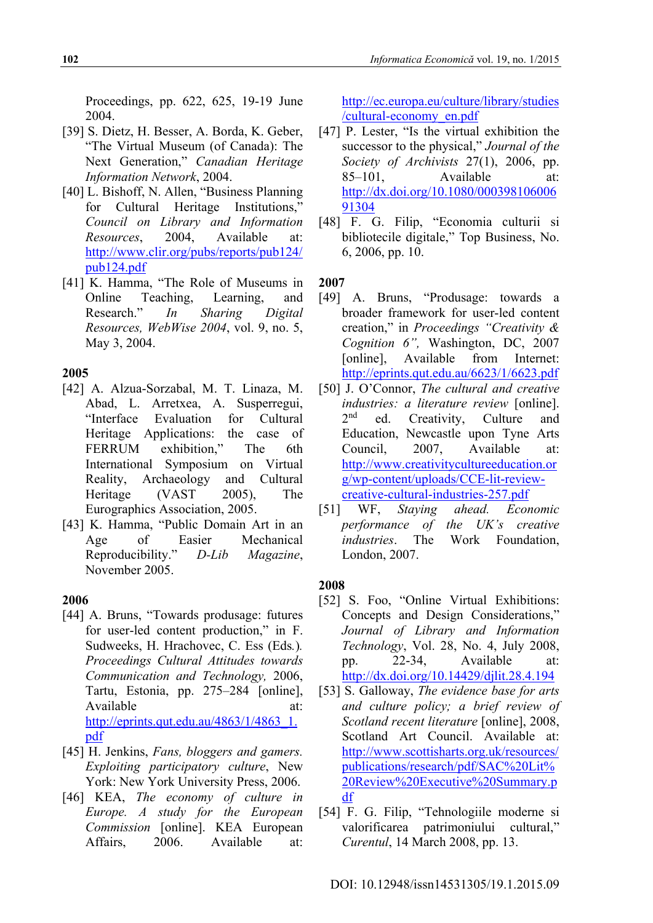Proceedings, pp. 622, 625, 19-19 June 2004.

- [39] S. Dietz, H. Besser, A. Borda, K. Geber, "The Virtual Museum (of Canada): The Next Generation," *Canadian Heritage Information Network*, 2004.
- [40] L. Bishoff, N. Allen, "Business Planning for Cultural Heritage Institutions," *Council on Library and Information Resources*, 2004, Available at: http://www.clir.org/pubs/reports/pub124/ pub124.pdf
- [41] K. Hamma, "The Role of Museums in Online Teaching, Learning, and Research." *In Sharing Digital Resources, WebWise 2004*, vol. 9, no. 5, May 3, 2004.

### **2005**

- [42] A. Alzua-Sorzabal, M. T. Linaza, M. Abad, L. Arretxea, A. Susperregui, "Interface Evaluation for Cultural Heritage Applications: the case of FERRUM exhibition," The 6th International Symposium on Virtual Reality, Archaeology and Cultural Heritage (VAST 2005), The Eurographics Association, 2005.
- [43] K. Hamma, "Public Domain Art in an Age of Easier Mechanical Reproducibility." *D-Lib Magazine*, November 2005.

#### **2006**

- [44] A. Bruns, "Towards produsage: futures for user-led content production," in F. Sudweeks, H. Hrachovec, C. Ess (Eds*.*)*. Proceedings Cultural Attitudes towards Communication and Technology,* 2006, Tartu, Estonia, pp. 275–284 [online], Available at: http://eprints.qut.edu.au/4863/1/4863\_1. pdf
- [45] H. Jenkins, *Fans, bloggers and gamers. Exploiting participatory culture*, New York: New York University Press, 2006.
- [46] KEA, *The economy of culture in Europe. A study for the European Commission* [online]. KEA European Affairs, 2006. Available at:

http://ec.europa.eu/culture/library/studies /cultural-economy\_en.pdf

- [47] P. Lester, "Is the virtual exhibition the successor to the physical," *Journal of the Society of Archivists* 27(1), 2006, pp. 85–101, Available at: http://dx.doi.org/10.1080/000398106006 91304
- [48] F. G. Filip, "Economia culturii si bibliotecile digitale," Top Business, No. 6, 2006, pp. 10.

**2007** 

- [49] A. Bruns, "Produsage: towards a broader framework for user-led content creation," in *Proceedings "Creativity & Cognition 6",* Washington, DC, 2007 [online], Available from Internet: http://eprints.qut.edu.au/6623/1/6623.pdf
- [50] J. O'Connor, *The cultural and creative industries: a literature review* [online]. 2<sup>nd</sup> ed. Creativity, Culture and Education, Newcastle upon Tyne Arts Council, 2007, Available at: http://www.creativitycultureeducation.or g/wp-content/uploads/CCE-lit-reviewcreative-cultural-industries-257.pdf
- [51] WF, *Staying ahead. Economic performance of the UK's creative industries*. The Work Foundation, London, 2007.

#### **2008**

- [52] S. Foo, "Online Virtual Exhibitions: Concepts and Design Considerations," *Journal of Library and Information Technology*, Vol. 28, No. 4, July 2008, pp. 22-34, Available at: http://dx.doi.org/10.14429/djlit.28.4.194
- [53] S. Galloway, *The evidence base for arts and culture policy; a brief review of Scotland recent literature* [online], 2008, Scotland Art Council. Available at: http://www.scottisharts.org.uk/resources/ publications/research/pdf/SAC%20Lit% 20Review%20Executive%20Summary.p df
- [54] F. G. Filip, "Tehnologiile moderne si valorificarea patrimoniului cultural," *Curentul*, 14 March 2008, pp. 13.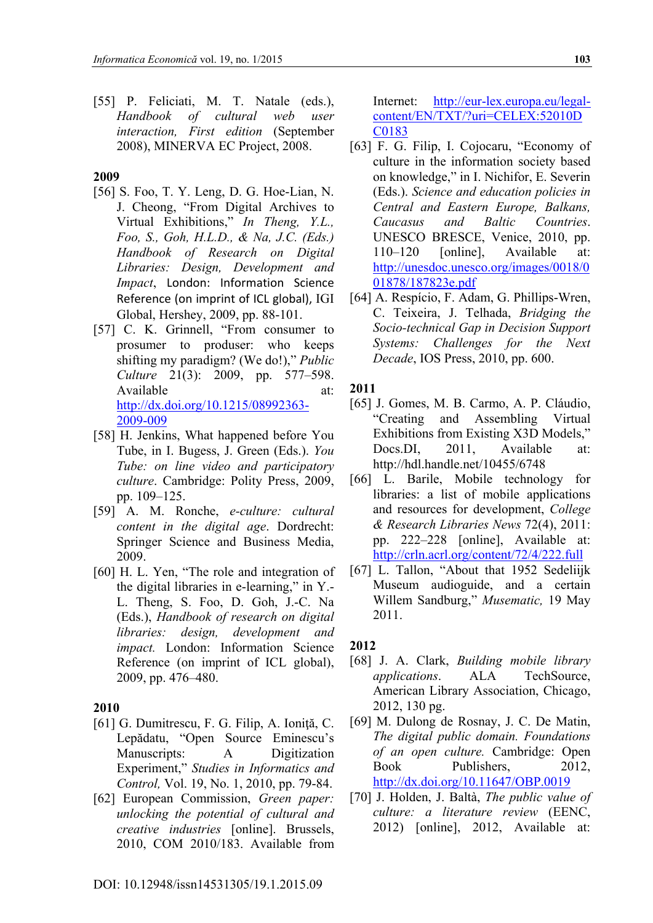[55] P. Feliciati, M. T. Natale (eds.), *Handbook of cultural web user interaction, First edition* (September 2008), MINERVA EC Project, 2008.

#### **2009**

- [56] S. Foo, T. Y. Leng, D. G. Hoe-Lian, N. J. Cheong, "From Digital Archives to Virtual Exhibitions," *In Theng, Y.L., Foo, S., Goh, H.L.D., & Na, J.C. (Eds.) Handbook of Research on Digital Libraries: Design, Development and Impact*, London: Information Science Reference (on imprint of ICL global), IGI Global, Hershey, 2009, pp. 88-101.
- [57] C. K. Grinnell, "From consumer to prosumer to produser: who keeps shifting my paradigm? (We do!)," *Public Culture* 21(3): 2009, pp. 577–598. Available at: http://dx.doi.org/10.1215/08992363- 2009-009
- [58] H. Jenkins, What happened before You Tube, in I. Bugess, J. Green (Eds.). *You Tube: on line video and participatory culture*. Cambridge: Polity Press, 2009, pp. 109–125.
- [59] A. M. Ronche, *e-culture: cultural content in the digital age*. Dordrecht: Springer Science and Business Media, 2009.
- [60] H. L. Yen, "The role and integration of the digital libraries in e-learning," in Y.- L. Theng, S. Foo, D. Goh, J.-C. Na (Eds.), *Handbook of research on digital libraries: design, development and impact.* London: Information Science Reference (on imprint of ICL global), 2009, pp. 476–480.

#### **2010**

- [61] G. Dumitrescu, F. G. Filip, A. Ioniţă, C. Lepădatu, "Open Source Eminescu's Manuscripts: A Digitization Experiment," *Studies in Informatics and Control,* Vol. 19, No. 1, 2010, pp. 79-84.
- [62] European Commission, *Green paper: unlocking the potential of cultural and creative industries* [online]. Brussels, 2010, COM 2010/183. Available from

Internet: http://eur-lex.europa.eu/legalcontent/EN/TXT/?uri=CELEX:52010D C0183

- [63] F. G. Filip, I. Cojocaru, "Economy of culture in the information society based on knowledge," in I. Nichifor, E. Severin (Eds.). *Science and education policies in Central and Eastern Europe, Balkans, Caucasus and Baltic Countries*. UNESCO BRESCE, Venice, 2010, pp. 110–120 [online], Available at: http://unesdoc.unesco.org/images/0018/0 01878/187823e.pdf
- [64] A. Respício, F. Adam, G. Phillips-Wren, C. Teixeira, J. Telhada, *Bridging the Socio-technical Gap in Decision Support Systems: Challenges for the Next Decade*, IOS Press, 2010, pp. 600.

#### **2011**

- [65] J. Gomes, M. B. Carmo, A. P. Cláudio, "Creating and Assembling Virtual Exhibitions from Existing X3D Models," Docs.DI, 2011, Available at: http://hdl.handle.net/10455/6748
- [66] L. Barile, Mobile technology for libraries: a list of mobile applications and resources for development, *College & Research Libraries News* 72(4), 2011: pp. 222–228 [online], Available at: http://crln.acrl.org/content/72/4/222.full
- [67] L. Tallon, "About that 1952 Sedeliijk Museum audioguide, and a certain Willem Sandburg," *Musematic,* 19 May 2011.

### **2012**

- [68] J. A. Clark, *Building mobile library applications*. ALA TechSource, American Library Association, Chicago, 2012, 130 pg.
- [69] M. Dulong de Rosnay, J. C. De Matin, *The digital public domain. Foundations of an open culture.* Cambridge: Open Book Publishers, 2012, http://dx.doi.org/10.11647/OBP.0019
- [70] J. Holden, J. Baltà, *The public value of culture: a literature review* (EENC, 2012) [online], 2012, Available at: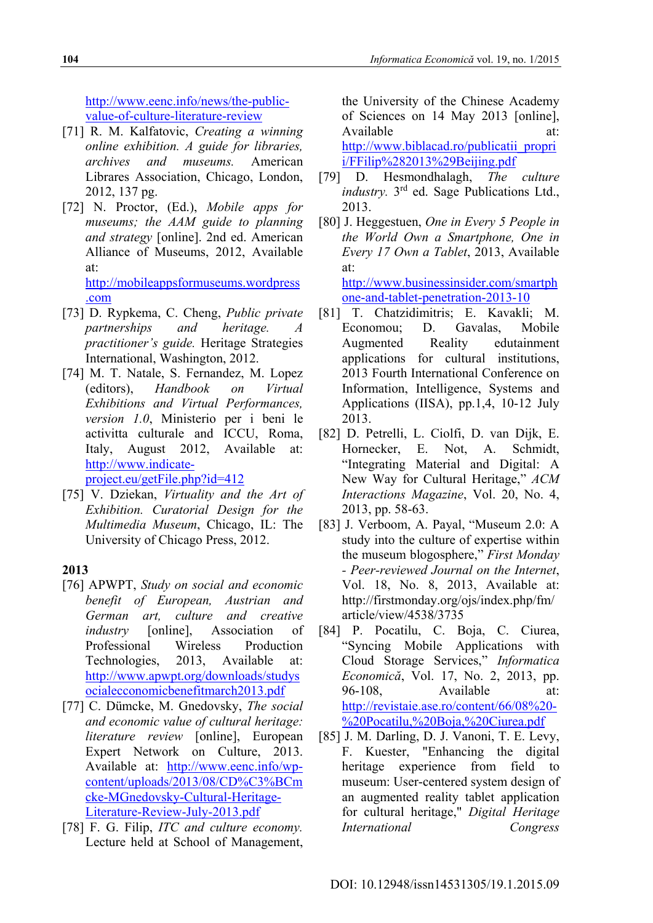http://www.eenc.info/news/the-publicvalue-of-culture-literature-review

- [71] R. M. Kalfatovic, *Creating a winning online exhibition. A guide for libraries, archives and museums.* American Librares Association, Chicago, London, 2012, 137 pg.
- [72] N. Proctor, (Ed.), *Mobile apps for museums; the AAM guide to planning and strategy* [online]. 2nd ed. American Alliance of Museums, 2012, Available at: http://mobileappsformuseums.wordpress

.com

- [73] D. Rypkema, C. Cheng, *Public private partnerships and heritage. A practitioner's guide.* Heritage Strategies International, Washington, 2012.
- [74] M. T. Natale, S. Fernandez, M. Lopez (editors), *Handbook on Virtual Exhibitions and Virtual Performances, version 1.0*, Ministerio per i beni le activitta culturale and ICCU, Roma, Italy, August 2012, Available at: http://www.indicateproject.eu/getFile.php?id=412
- [75] V. Dziekan, *Virtuality and the Art of Exhibition. Curatorial Design for the Multimedia Museum*, Chicago, IL: The University of Chicago Press, 2012.

# **2013**

- [76] APWPT, *Study on social and economic benefit of European, Austrian and German art, culture and creative industry* [online], Association of Professional Wireless Production Technologies, 2013, Available at: http://www.apwpt.org/downloads/studys ocialecconomicbenefitmarch2013.pdf
- [77] C. Dümcke, M. Gnedovsky, *The social and economic value of cultural heritage: literature review* [online], European Expert Network on Culture, 2013. Available at: http://www.eenc.info/wpcontent/uploads/2013/08/CD%C3%BCm cke-MGnedovsky-Cultural-Heritage-Literature-Review-July-2013.pdf
- [78] F. G. Filip, *ITC and culture economy.* Lecture held at School of Management,

the University of the Chinese Academy of Sciences on 14 May 2013 [online], Available at: http://www.biblacad.ro/publicatii\_propri i/FFilip%282013%29Beijing.pdf

- [79] D. Hesmondhalagh, *The culture industry*. 3<sup>rd</sup> ed. Sage Publications Ltd., 2013.
- [80] J. Heggestuen, *One in Every 5 People in the World Own a Smartphone, One in Every 17 Own a Tablet*, 2013, Available at:

http://www.businessinsider.com/smartph one-and-tablet-penetration-2013-10

- [81] T. Chatzidimitris; E. Kavakli; M. Economou; D. Gavalas, Mobile Augmented Reality edutainment applications for cultural institutions, 2013 Fourth International Conference on Information, Intelligence, Systems and Applications (IISA), pp.1,4, 10-12 July 2013.
- [82] D. Petrelli, L. Ciolfi, D. van Dijk, E. Hornecker, E. Not, A. Schmidt, "Integrating Material and Digital: A New Way for Cultural Heritage," *ACM Interactions Magazine*, Vol. 20, No. 4, 2013, pp. 58-63.
- [83] J. Verboom, A. Payal, "Museum 2.0: A study into the culture of expertise within the museum blogosphere," *First Monday - Peer-reviewed Journal on the Internet*, Vol. 18, No. 8, 2013, Available at: http://firstmonday.org/ojs/index.php/fm/ article/view/4538/3735
- [84] P. Pocatilu, C. Boja, C. Ciurea, "Syncing Mobile Applications with Cloud Storage Services," *Informatica Economică*, Vol. 17, No. 2, 2013, pp. 96-108, Available at: http://revistaie.ase.ro/content/66/08%20- %20Pocatilu,%20Boja,%20Ciurea.pdf
- [85] J. M. Darling, D. J. Vanoni, T. E. Levy, F. Kuester, "Enhancing the digital heritage experience from field to museum: User-centered system design of an augmented reality tablet application for cultural heritage," *Digital Heritage International Congress*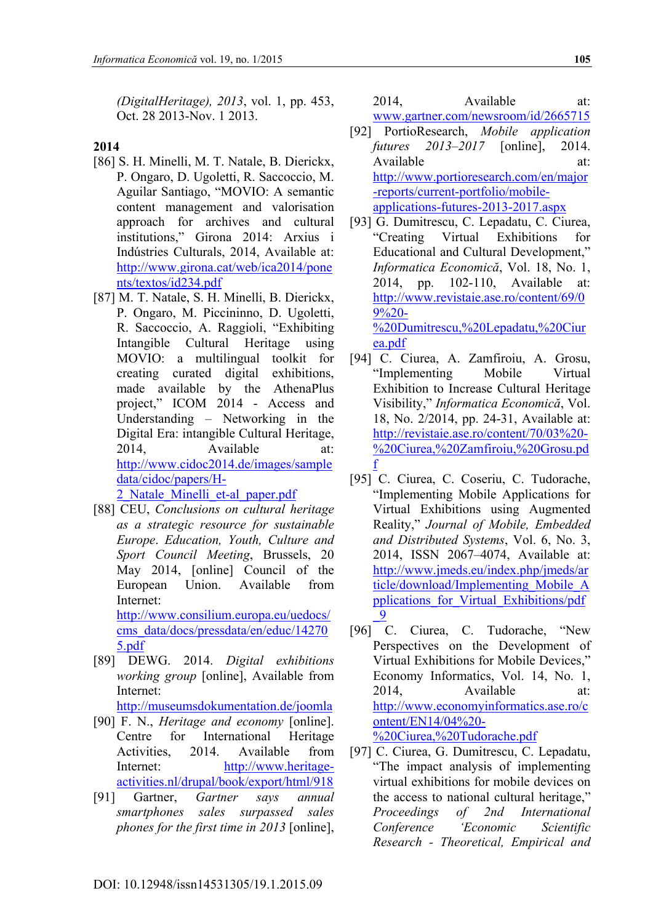*(DigitalHeritage), 2013*, vol. 1, pp. 453, Oct. 28 2013-Nov. 1 2013.

### **2014**

- [86] S. H. Minelli, M. T. Natale, B. Dierickx, P. Ongaro, D. Ugoletti, R. Saccoccio, M. Aguilar Santiago, "MOVIO: A semantic content management and valorisation approach for archives and cultural institutions," Girona 2014: Arxius i Indústries Culturals, 2014, Available at: http://www.girona.cat/web/ica2014/pone nts/textos/id234.pdf
- [87] M. T. Natale, S. H. Minelli, B. Dierickx, P. Ongaro, M. Piccininno, D. Ugoletti, R. Saccoccio, A. Raggioli, "Exhibiting Intangible Cultural Heritage using MOVIO: a multilingual toolkit for creating curated digital exhibitions, made available by the AthenaPlus project," ICOM 2014 - Access and Understanding – Networking in the Digital Era: intangible Cultural Heritage, 2014, Available at: http://www.cidoc2014.de/images/sample data/cidoc/papers/H-2\_Natale\_Minelli\_et-al\_paper.pdf
- [88] CEU, *Conclusions on cultural heritage as a strategic resource for sustainable Europe*. *Education, Youth, Culture and Sport Council Meeting*, Brussels, 20 May 2014, [online] Council of the European Union. Available from Internet: http://www.consilium.europa.eu/uedocs/ cms\_data/docs/pressdata/en/educ/14270 5.pdf
- [89] DEWG. 2014. *Digital exhibitions working group* [online], Available from Internet:

http://museumsdokumentation.de/joomla

- [90] F. N., *Heritage and economy* [online]. Centre for International Heritage Activities, 2014. Available from Internet: http://www.heritageactivities.nl/drupal/book/export/html/918
- [91] Gartner, *Gartner says annual smartphones sales surpassed sales phones for the first time in 2013* [online],

2014, Available at: www.gartner.com/newsroom/id/2665715

- [92] PortioResearch, *Mobile application futures 2013–2017* [online], 2014. Available at: http://www.portioresearch.com/en/major -reports/current-portfolio/mobileapplications-futures-2013-2017.aspx
- [93] G. Dumitrescu, C. Lepadatu, C. Ciurea, "Creating Virtual Exhibitions for Educational and Cultural Development," *Informatica Economică*, Vol. 18, No. 1, 2014, pp. 102-110, Available at: http://www.revistaie.ase.ro/content/69/0 9%20- %20Dumitrescu,%20Lepadatu,%20Ciur ea.pdf
- [94] C. Ciurea, A. Zamfiroiu, A. Grosu, "Implementing Mobile Virtual Exhibition to Increase Cultural Heritage Visibility," *Informatica Economică*, Vol. 18, No. 2/2014, pp. 24-31, Available at: http://revistaie.ase.ro/content/70/03%20- %20Ciurea,%20Zamfiroiu,%20Grosu.pd f
- [95] C. Ciurea, C. Coseriu, C. Tudorache, "Implementing Mobile Applications for Virtual Exhibitions using Augmented Reality," *Journal of Mobile, Embedded and Distributed Systems*, Vol. 6, No. 3, 2014, ISSN 2067–4074, Available at: http://www.jmeds.eu/index.php/jmeds/ar ticle/download/Implementing\_Mobile\_A pplications\_for\_Virtual\_Exhibitions/pdf \_9
- [96] C. Ciurea, C. Tudorache, "New Perspectives on the Development of Virtual Exhibitions for Mobile Devices," Economy Informatics, Vol. 14, No. 1, 2014, Available at: http://www.economyinformatics.ase.ro/c ontent/EN14/04%20- %20Ciurea,%20Tudorache.pdf
- [97] C. Ciurea, G. Dumitrescu, C. Lepadatu, "The impact analysis of implementing virtual exhibitions for mobile devices on the access to national cultural heritage," *Proceedings of 2nd International Conference 'Economic Scientific Research - Theoretical, Empirical and*